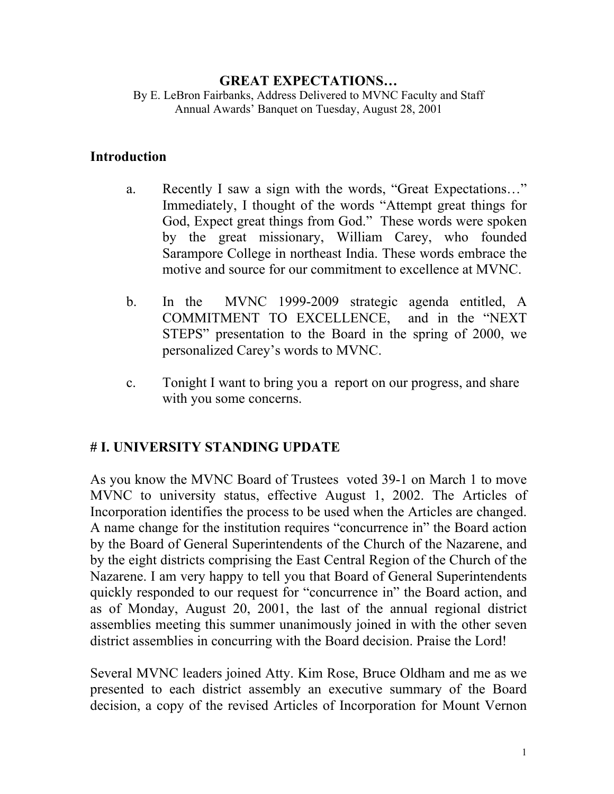#### **GREAT EXPECTATIONS…**

By E. LeBron Fairbanks, Address Delivered to MVNC Faculty and Staff Annual Awards' Banquet on Tuesday, August 28, 2001

#### **Introduction**

- a. Recently I saw a sign with the words, "Great Expectations…" Immediately, I thought of the words "Attempt great things for God, Expect great things from God." These words were spoken by the great missionary, William Carey, who founded Sarampore College in northeast India. These words embrace the motive and source for our commitment to excellence at MVNC.
- b. In the MVNC 1999-2009 strategic agenda entitled, A COMMITMENT TO EXCELLENCE, and in the "NEXT STEPS" presentation to the Board in the spring of 2000, we personalized Carey's words to MVNC.
- c. Tonight I want to bring you a report on our progress, and share with you some concerns.

#### **# I. UNIVERSITY STANDING UPDATE**

As you know the MVNC Board of Trustees voted 39-1 on March 1 to move MVNC to university status, effective August 1, 2002. The Articles of Incorporation identifies the process to be used when the Articles are changed. A name change for the institution requires "concurrence in" the Board action by the Board of General Superintendents of the Church of the Nazarene, and by the eight districts comprising the East Central Region of the Church of the Nazarene. I am very happy to tell you that Board of General Superintendents quickly responded to our request for "concurrence in" the Board action, and as of Monday, August 20, 2001, the last of the annual regional district assemblies meeting this summer unanimously joined in with the other seven district assemblies in concurring with the Board decision. Praise the Lord!

Several MVNC leaders joined Atty. Kim Rose, Bruce Oldham and me as we presented to each district assembly an executive summary of the Board decision, a copy of the revised Articles of Incorporation for Mount Vernon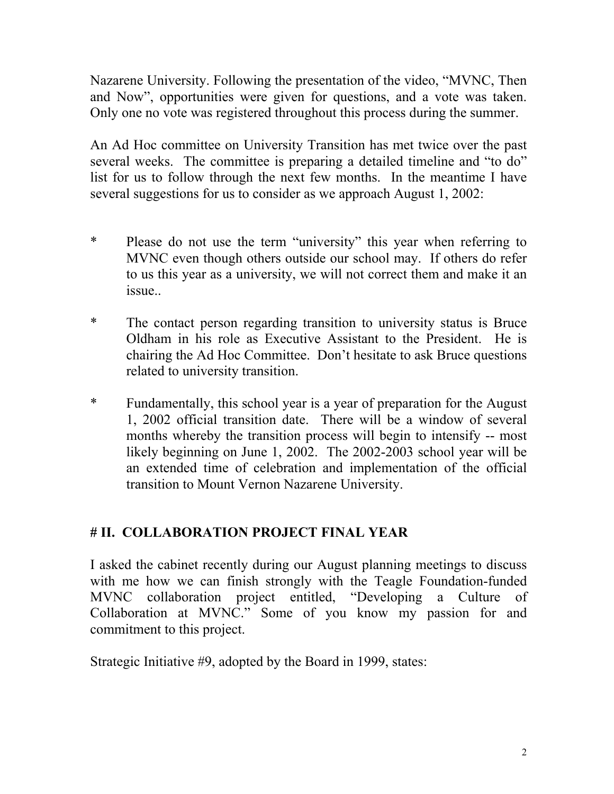Nazarene University. Following the presentation of the video, "MVNC, Then and Now", opportunities were given for questions, and a vote was taken. Only one no vote was registered throughout this process during the summer.

An Ad Hoc committee on University Transition has met twice over the past several weeks. The committee is preparing a detailed timeline and "to do" list for us to follow through the next few months. In the meantime I have several suggestions for us to consider as we approach August 1, 2002:

- \* Please do not use the term "university" this year when referring to MVNC even though others outside our school may. If others do refer to us this year as a university, we will not correct them and make it an issue..
- \* The contact person regarding transition to university status is Bruce Oldham in his role as Executive Assistant to the President. He is chairing the Ad Hoc Committee. Don't hesitate to ask Bruce questions related to university transition.
- \* Fundamentally, this school year is a year of preparation for the August 1, 2002 official transition date. There will be a window of several months whereby the transition process will begin to intensify -- most likely beginning on June 1, 2002. The 2002-2003 school year will be an extended time of celebration and implementation of the official transition to Mount Vernon Nazarene University.

## **# II. COLLABORATION PROJECT FINAL YEAR**

I asked the cabinet recently during our August planning meetings to discuss with me how we can finish strongly with the Teagle Foundation-funded MVNC collaboration project entitled, "Developing a Culture of Collaboration at MVNC." Some of you know my passion for and commitment to this project.

Strategic Initiative #9, adopted by the Board in 1999, states: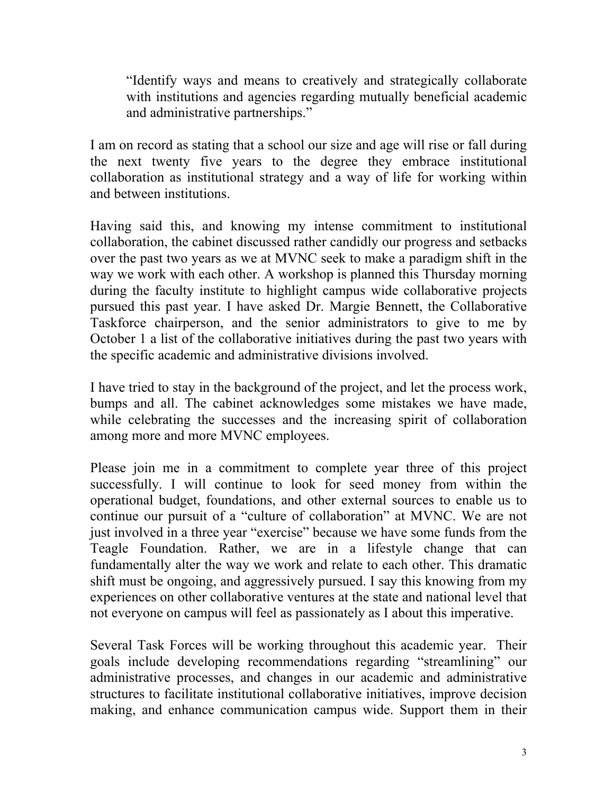"Identify ways and means to creatively and strategically collaborate with institutions and agencies regarding mutually beneficial academic and administrative partnerships."

I am on record as stating that a school our size and age will rise or fall during the next twenty five years to the degree they embrace institutional collaboration as institutional strategy and a way of life for working within and between institutions.

Having said this, and knowing my intense commitment to institutional collaboration, the cabinet discussed rather candidly our progress and setbacks over the past two years as we at MVNC seek to make a paradigm shift in the way we work with each other. A workshop is planned this Thursday morning during the faculty institute to highlight campus wide collaborative projects pursued this past year. I have asked Dr. Margie Bennett, the Collaborative Taskforce chairperson, and the senior administrators to give to me by October 1 a list of the collaborative initiatives during the past two years with the specific academic and administrative divisions involved.

I have tried to stay in the background of the project, and let the process work, bumps and all. The cabinet acknowledges some mistakes we have made, while celebrating the successes and the increasing spirit of collaboration among more and more MVNC employees.

Please join me in a commitment to complete year three of this project successfully. I will continue to look for seed money from within the operational budget, foundations, and other external sources to enable us to continue our pursuit of a "culture of collaboration" at MVNC. We are not just involved in a three year "exercise" because we have some funds from the Teagle Foundation. Rather, we are in a lifestyle change that can fundamentally alter the way we work and relate to each other. This dramatic shift must be ongoing, and aggressively pursued. I say this knowing from my experiences on other collaborative ventures at the state and national level that not everyone on campus will feel as passionately as I about this imperative.

Several Task Forces will be working throughout this academic year. Their goals include developing recommendations regarding "streamlining" our administrative processes, and changes in our academic and administrative structures to facilitate institutional collaborative initiatives, improve decision making, and enhance communication campus wide. Support them in their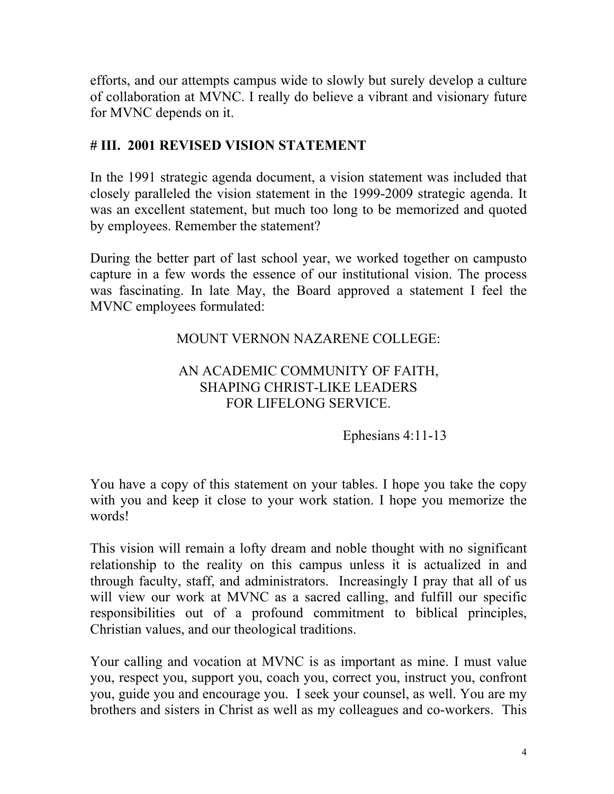efforts, and our attempts campus wide to slowly but surely develop a culture of collaboration at MVNC. I really do believe a vibrant and visionary future for MVNC depends on it.

## **# III. 2001 REVISED VISION STATEMENT**

In the 1991 strategic agenda document, a vision statement was included that closely paralleled the vision statement in the 1999-2009 strategic agenda. It was an excellent statement, but much too long to be memorized and quoted by employees. Remember the statement?

During the better part of last school year, we worked together on campusto capture in a few words the essence of our institutional vision. The process was fascinating. In late May, the Board approved a statement I feel the MVNC employees formulated:

## MOUNT VERNON NAZARENE COLLEGE:

### AN ACADEMIC COMMUNITY OF FAITH, SHAPING CHRIST-LIKE LEADERS FOR LIFELONG SERVICE.

Ephesians 4:11-13

You have a copy of this statement on your tables. I hope you take the copy with you and keep it close to your work station. I hope you memorize the words!

This vision will remain a lofty dream and noble thought with no significant relationship to the reality on this campus unless it is actualized in and through faculty, staff, and administrators. Increasingly I pray that all of us will view our work at MVNC as a sacred calling, and fulfill our specific responsibilities out of a profound commitment to biblical principles, Christian values, and our theological traditions.

Your calling and vocation at MVNC is as important as mine. I must value you, respect you, support you, coach you, correct you, instruct you, confront you, guide you and encourage you. I seek your counsel, as well. You are my brothers and sisters in Christ as well as my colleagues and co-workers. This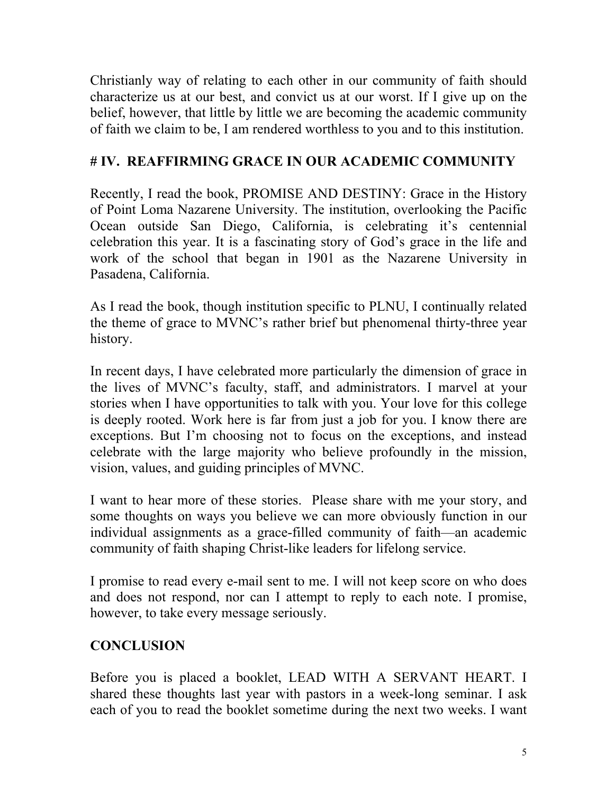Christianly way of relating to each other in our community of faith should characterize us at our best, and convict us at our worst. If I give up on the belief, however, that little by little we are becoming the academic community of faith we claim to be, I am rendered worthless to you and to this institution.

# **# IV. REAFFIRMING GRACE IN OUR ACADEMIC COMMUNITY**

Recently, I read the book, PROMISE AND DESTINY: Grace in the History of Point Loma Nazarene University. The institution, overlooking the Pacific Ocean outside San Diego, California, is celebrating it's centennial celebration this year. It is a fascinating story of God's grace in the life and work of the school that began in 1901 as the Nazarene University in Pasadena, California.

As I read the book, though institution specific to PLNU, I continually related the theme of grace to MVNC's rather brief but phenomenal thirty-three year history.

In recent days, I have celebrated more particularly the dimension of grace in the lives of MVNC's faculty, staff, and administrators. I marvel at your stories when I have opportunities to talk with you. Your love for this college is deeply rooted. Work here is far from just a job for you. I know there are exceptions. But I'm choosing not to focus on the exceptions, and instead celebrate with the large majority who believe profoundly in the mission, vision, values, and guiding principles of MVNC.

I want to hear more of these stories. Please share with me your story, and some thoughts on ways you believe we can more obviously function in our individual assignments as a grace-filled community of faith—an academic community of faith shaping Christ-like leaders for lifelong service.

I promise to read every e-mail sent to me. I will not keep score on who does and does not respond, nor can I attempt to reply to each note. I promise, however, to take every message seriously.

# **CONCLUSION**

Before you is placed a booklet, LEAD WITH A SERVANT HEART. I shared these thoughts last year with pastors in a week-long seminar. I ask each of you to read the booklet sometime during the next two weeks. I want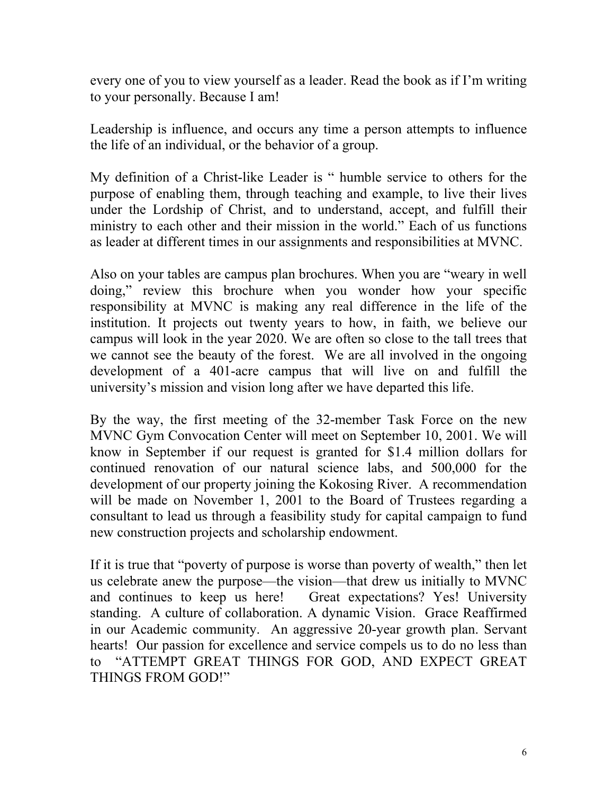every one of you to view yourself as a leader. Read the book as if I'm writing to your personally. Because I am!

Leadership is influence, and occurs any time a person attempts to influence the life of an individual, or the behavior of a group.

My definition of a Christ-like Leader is " humble service to others for the purpose of enabling them, through teaching and example, to live their lives under the Lordship of Christ, and to understand, accept, and fulfill their ministry to each other and their mission in the world." Each of us functions as leader at different times in our assignments and responsibilities at MVNC.

Also on your tables are campus plan brochures. When you are "weary in well doing," review this brochure when you wonder how your specific responsibility at MVNC is making any real difference in the life of the institution. It projects out twenty years to how, in faith, we believe our campus will look in the year 2020. We are often so close to the tall trees that we cannot see the beauty of the forest. We are all involved in the ongoing development of a 401-acre campus that will live on and fulfill the university's mission and vision long after we have departed this life.

By the way, the first meeting of the 32-member Task Force on the new MVNC Gym Convocation Center will meet on September 10, 2001. We will know in September if our request is granted for \$1.4 million dollars for continued renovation of our natural science labs, and 500,000 for the development of our property joining the Kokosing River. A recommendation will be made on November 1, 2001 to the Board of Trustees regarding a consultant to lead us through a feasibility study for capital campaign to fund new construction projects and scholarship endowment.

If it is true that "poverty of purpose is worse than poverty of wealth," then let us celebrate anew the purpose—the vision—that drew us initially to MVNC and continues to keep us here! Great expectations? Yes! University standing. A culture of collaboration. A dynamic Vision. Grace Reaffirmed in our Academic community. An aggressive 20-year growth plan. Servant hearts! Our passion for excellence and service compels us to do no less than to "ATTEMPT GREAT THINGS FOR GOD, AND EXPECT GREAT THINGS FROM GOD!"